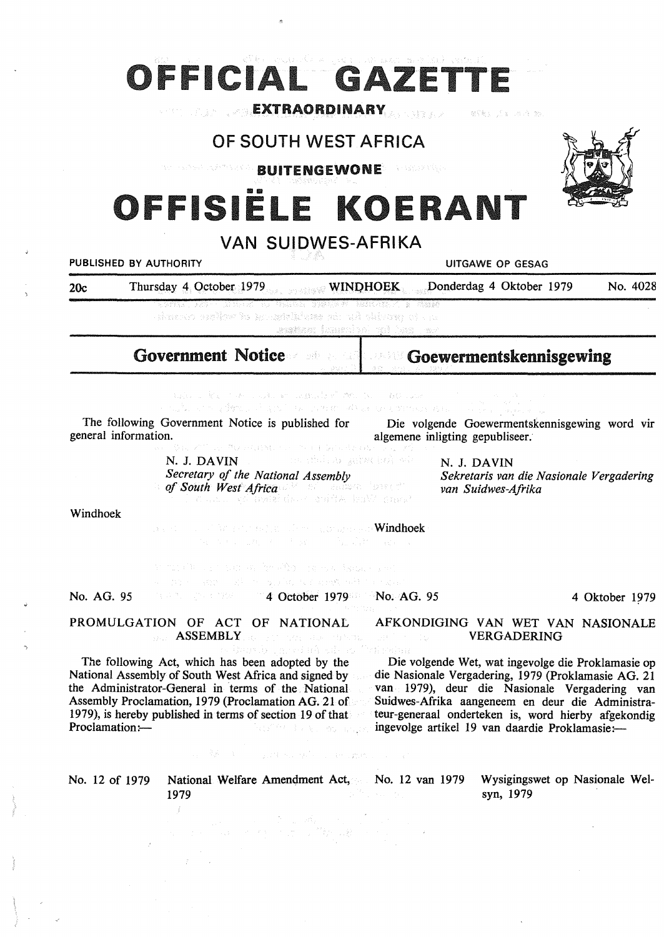# OFFICIAL GAZETT

# EXTRAORDINARY (1993) - Extraordinary and the second of the formula of the second second in the second second second in the second second second second second second second second second second second second second second s

## OF SOUTH WEST AFRICA

Webster Government **BUITENGEWONE** 

# ISIËLE KOEI

## VAN SUIDWES-AFRIKA

**PUBLISHED BY AUTHORITY UITGAWE OP GESAG**  20c Thursday 4 October 1979 **WINI)HOEK** Donderdag 4 Oktober 1979 No. 4028 throws sellow is actabilitens of wilson of the , assistan fananiyal toi laxo ast Government Notice Goewermentskennisgewing audio 2 Reinhorn Ladio en la Basta VI molto. De la Bastalla

which plans in the work also be organism.

The following Government Notice is published for general information. Die volgende Goewermentskennisgewing word vir

N. J. **DAVIN** 

*of South West Africa* 

N. J. **DAVIN**  *Sekretaris van die Nasionale Vergadering van Suidwes-Afrika* 

Windhoek

windhoek with the second construction of **Windhoek** 

a the condition of the project to condition in a con-

No. AG. 95 4 October 1979 No. AG. 95

**PROMULGATION OF** ACT **OF NATIONAL**  AFKONDIGING VAN WET VAN NASIONALE **ASSEMBLY** AND STUNCTURE OF STRIP

ari kota po VERGADERING Die volgende Wet, wat ingevolge die Proklamasie op

The following Act, which has been adopted by the National Assembly of South West Africa and signed by the Administrator-General in terms of the National Assembly Proclamation, 1979 (Proclamation AG. 21 of 1979), is hereby published in terms of section 19 of that Proclamation:-Patrimonia a traductoria

die Nasionale Vergadering, 1979 (Proklamasie AG. 21 van 1979), deur die Nasionale Vergadering van Suidwes-Afrika aangeneem en deur die Administrateur-generaal onderteken is, word hierby afgekondig ingevolge artikel 19 van daardie Proklamasie:-

No. 12 of 1979 National Welfare Amendment Act, No. 12 van 1979 1979

a Meliko kalendar ya wake wake wake a katika 19

a material de la Roma de la Constantinación.<br>La componentación de la Constantinación de la Constantinación de la Constantinación de la Constantinación de l

Wysigingswet op Nasionale Welsyn, 1979



*Secretary of the National Assembly*  **algemene inligting gepubliseer.**<br>Algemene inligting gepubliseer.

4 Oktober 1979

 $\sim$  7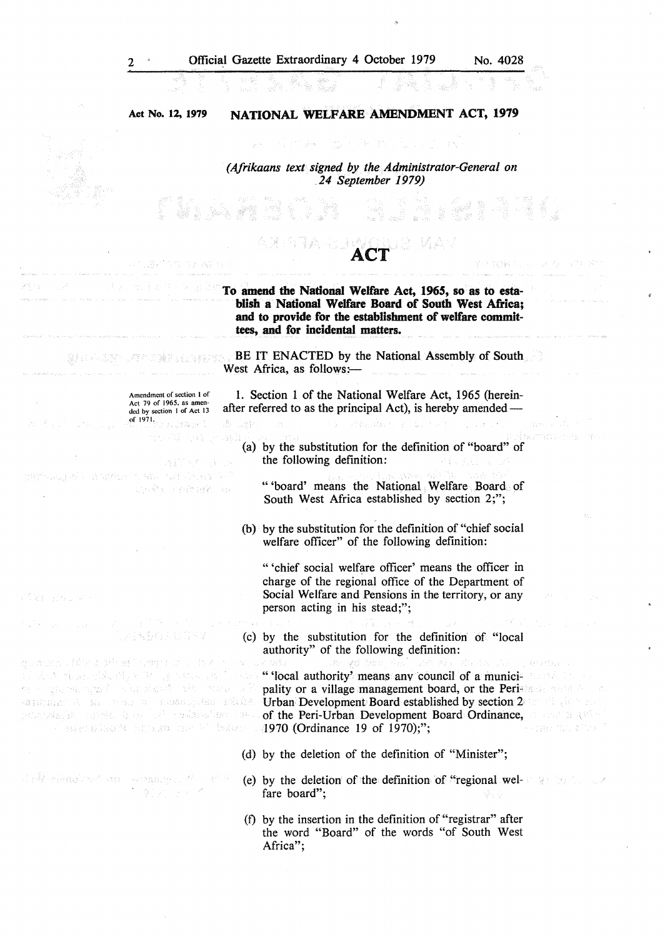$\frac{1}{\sqrt{3}}$ 

 $\frac{1}{\sqrt{2}}$ 

 $\mathfrak{g}$ 

 $\epsilon$ 

| sa Ma                                                                                     | 不定 网络阿尔巴纳斯蒂克 化气管 医磷酸钠<br>[11] 2010년 - 122, 2011년 - 122, 2011년 - 122, 2011년 - 122, 2011년 - 122, 2011년 - 122, 2011년 - 122, 201                                                                                                                                                                                                                                                                                                                                                                                                                                                                                                                                                                                                                                                                                                                                                                           |
|-------------------------------------------------------------------------------------------|--------------------------------------------------------------------------------------------------------------------------------------------------------------------------------------------------------------------------------------------------------------------------------------------------------------------------------------------------------------------------------------------------------------------------------------------------------------------------------------------------------------------------------------------------------------------------------------------------------------------------------------------------------------------------------------------------------------------------------------------------------------------------------------------------------------------------------------------------------------------------------------------------------|
| Act No. 12, 1979                                                                          | NATIONAL WELFARE AMENDMENT ACT, 1979                                                                                                                                                                                                                                                                                                                                                                                                                                                                                                                                                                                                                                                                                                                                                                                                                                                                   |
|                                                                                           | 그는 사람들은 늦은 새로 들어갔다. 이 그만                                                                                                                                                                                                                                                                                                                                                                                                                                                                                                                                                                                                                                                                                                                                                                                                                                                                               |
|                                                                                           | (Afrikaans text signed by the Administrator-General on<br>24 September 1979)                                                                                                                                                                                                                                                                                                                                                                                                                                                                                                                                                                                                                                                                                                                                                                                                                           |
|                                                                                           |                                                                                                                                                                                                                                                                                                                                                                                                                                                                                                                                                                                                                                                                                                                                                                                                                                                                                                        |
| 그리고 적대가 가서 아니라 보일이 좋다.                                                                    | めげ ないとうしょう アール・スト                                                                                                                                                                                                                                                                                                                                                                                                                                                                                                                                                                                                                                                                                                                                                                                                                                                                                      |
|                                                                                           | To amend the National Welfare Act, 1965, so as to esta-<br>blish a National Welfare Board of South West Africa;<br>and to provide for the establishment of welfare commit-<br>tees, and for incidental matters.                                                                                                                                                                                                                                                                                                                                                                                                                                                                                                                                                                                                                                                                                        |
|                                                                                           | <b>Solutional Assembly of South 1988 South BE IT ENACTED by the National Assembly of South.</b><br>West Africa, as follows:-<br>ים.<br>בין המוקד היא היה היה היה היה היה המוקד מישומי היא המוקד היה היה המוקדמים מוקדמים ממוקד המוקדמים מוקדמים ומוקד                                                                                                                                                                                                                                                                                                                                                                                                                                                                                                                                                                                                                                                  |
| Amendment of section 1 of<br>Act 79 of 1965, as amen-<br>ded by section 1 of Act 13       | 1. Section 1 of the National Welfare Act, 1965 (herein-<br>after referred to as the principal Act), is hereby amended —                                                                                                                                                                                                                                                                                                                                                                                                                                                                                                                                                                                                                                                                                                                                                                                |
| of $1971$ , $\frac{1}{2}$ , $\frac{1}{2}$ , $\frac{1}{2}$ , $\frac{1}{2}$ , $\frac{1}{2}$ | do agles and a construction of the second of the second construction of the second of<br>na di que a milità, la cara i<br>(a) by the substitution for the definition of "board" of<br>the following definition:<br>주름을 가지마 그는 그리                                                                                                                                                                                                                                                                                                                                                                                                                                                                                                                                                                                                                                                                       |
| company of the company of order that the magni<br>ALLEN CONTROL IN                        | "board' means the National Welfare Board of<br>South West Africa established by section 2;";                                                                                                                                                                                                                                                                                                                                                                                                                                                                                                                                                                                                                                                                                                                                                                                                           |
|                                                                                           | И.<br>(b) by the substitution for the definition of "chief social<br>welfare officer" of the following definition:                                                                                                                                                                                                                                                                                                                                                                                                                                                                                                                                                                                                                                                                                                                                                                                     |
| ※10 足も (admy) ⇒ → (admy)                                                                  | "chief social welfare officer' means the officer in<br>charge of the regional office of the Department of<br>Social Welfare and Pensions in the territory, or any<br>$\sim 10^{-10}$ m $^{-1}$<br>person acting in his stead;";                                                                                                                                                                                                                                                                                                                                                                                                                                                                                                                                                                                                                                                                        |
|                                                                                           | 3. はんじょう ストル (する) こくれのみ せいにょう さん箱 メデオアーンバー (不利 10) アップ<br><b>Example 2018 1999 (c)</b> by the substitution for the definition of "local<br>authority" of the following definition:                                                                                                                                                                                                                                                                                                                                                                                                                                                                                                                                                                                                                                                                                                                     |
|                                                                                           | goranska (1900–19 <sup>9</sup> ) sel vregir in 1962 i 1960 ur sriv 1990 i 1990 gorber jezik sem 22. Striča (1990–1992) or<br>and the size of further the protocol in the "Mocal authority" means any council of a munici- considered by<br>the substanting of the six of the state of pality or a village management board, or the Perists dentity of a<br>-anguage of the constant membership and manifold <b>Urban</b> Development Board established by section 2000 all glow as<br>polarbische annie, in der alle probabilität och the Peri-Urban Development Board Ordinance, an end de like<br><b>For the Case of Line and Community Commune 19 of 1970);";</b><br>in the communication of the state of the state of the state of the state of the state of the state of the state of the state of the state of the state of the state of the state of the state of the state of the state of the |
|                                                                                           | (d) by the deletion of the definition of "Minister";                                                                                                                                                                                                                                                                                                                                                                                                                                                                                                                                                                                                                                                                                                                                                                                                                                                   |
| Alek Shanker's an Armanger, Mark Park<br>10 화장 및 Park                                     | (e) by the deletion of the definition of "regional wel- and the contract of the definition of "regional wel-<br>fare board";<br>장난 1                                                                                                                                                                                                                                                                                                                                                                                                                                                                                                                                                                                                                                                                                                                                                                   |
|                                                                                           | (f) by the insertion in the definition of "registrar" after<br>the word "Board" of the words "of South West<br>Africa";                                                                                                                                                                                                                                                                                                                                                                                                                                                                                                                                                                                                                                                                                                                                                                                |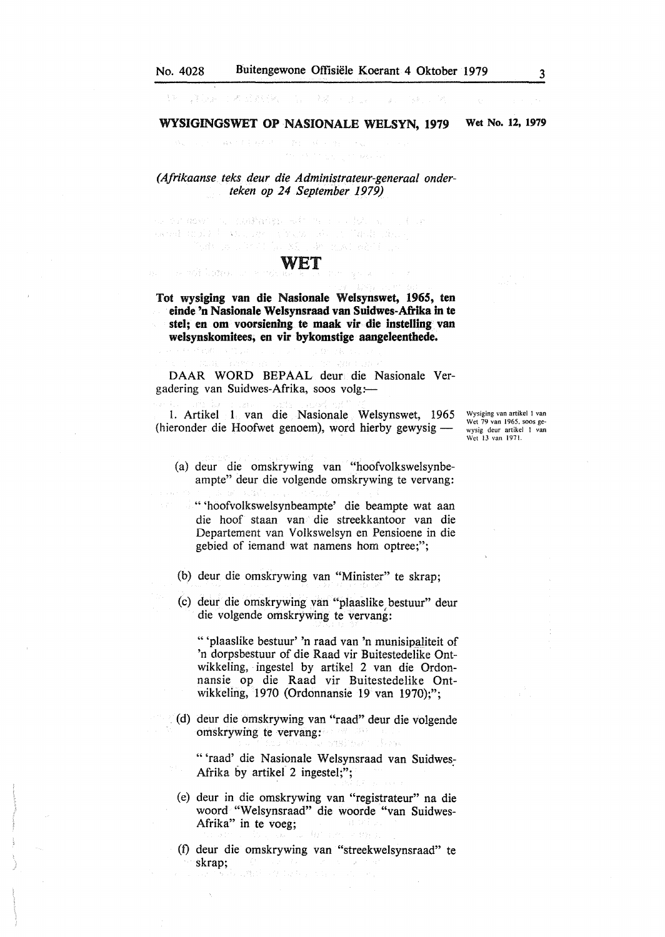# 1990年10月19日, 1990年1月

*(Afrikaanse teks deur die Administrateur-generaal onderteken op 24 September 1979)* 

on makaign with the collection of the aarad urphy books, and abound also in Particularly o Xi de nuvi ečdicus

小木品来得好

The WA Listen or Service

## WET

Tot **wysiging van die Nasionale Welsynswet, 1965, ten einde 'n Nasionale Welsynsraad van Suidwes-Afrika** in te **stel; en om voorsienfng te maak vir die instelling van welsynskomitees, en vir bykomstige aangeleenthede.** 

DAAR WORD BEPAAL deur die Nasionale Vergadering van Suidwes-Afrika, soos volg:

1. Artikel 1 van die Nasionale Welsynswet, 1965  $(hieronder die Hoofwet genoem)$ , word hierby gewysig —

Wysiging van artikel I van Wet 79 van 1965, soos gewysig deur artikel I van Wet 13 van 1971.

- (a) deur die omskrywing van "hoofvolkswelsynbeampte" deur die volgende omskrywing te vervang:
	- " 'hoofvolkswelsynbeampte' die beampte wat aan die hoof staan van die streekkantoor van die Departement van Volkswelsyn en Pensioene in die gebied of iemand wat namens horn optree;";
- (b) deur die omskrywing van "Minister" te skrap;
- (c) deur die omskrywing van "plaaslike bestuur" deur die volgende omskrywing te vervang:

" 'plaaslike bestuur' 'n raad van 'n munisipaliteit of 'n dorpsbestuur of die Raad vir Buitestedelike Ontwikkeling, ingestel by artikel 2 van die Ordonnansie op die Raad vir Buitestedelike Ontwikkeling, 1970 (Ordonnansie 19 van 1970);";

. (d) deur die omskrywing van "raad" deur die volgende omskrywing te vervang:

" 'raad' die Nasionale Welsynsraad van Suidwes-Afrika by artikel 2 ingestel;";

- (e) deur in die omskrywing van "registrateur" na die woord "Welsynsraad" die woorde "van Suidwes-Afrika" in te voeg;
- (f) deur die omskrywing van "streekwelsynsraad" te skrap;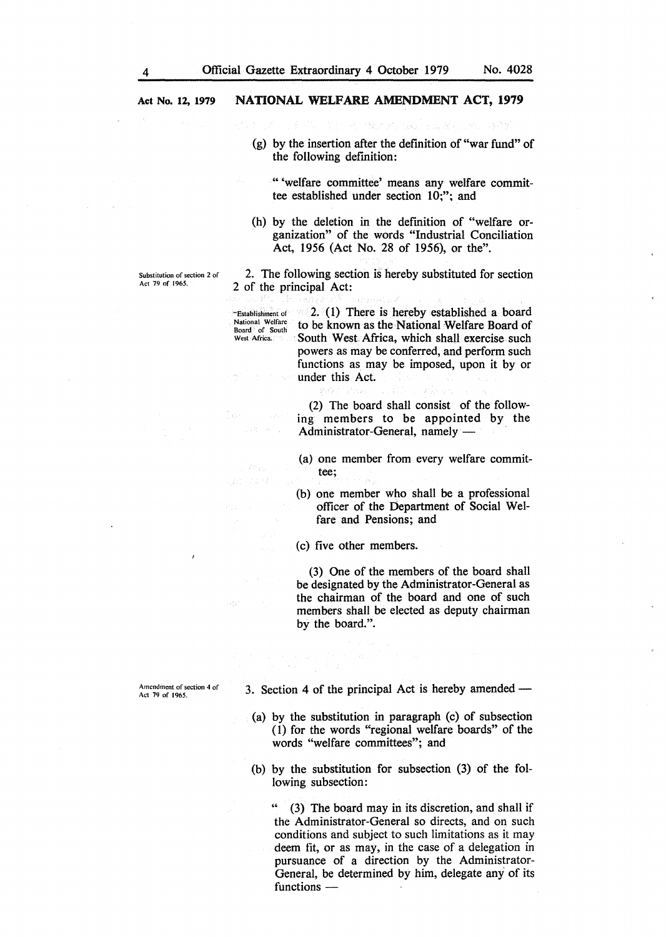- 
- (g) by the insertion after the definition of "war fund" of the following definition:
	- "'welfare committee' means any welfare committee established under section 10;"; and
- (h) by the deletion in the definition of "welfare organization" of the words "Industrial Conciliation Act, 1956 (Act No. 28 of 1956), or the".

2. The following section is hereby substituted for section 2 of the principal Act:

West Africa. 2.  $(1)$  There is hereby established a board to be known as the National Welfare Board of South West Africa, which shall exercise such powers as may be conferred, and perform such functions as may be imposed, upon it by or under this Act.

> (2) The board shall consist of the following members to be appointed by the Administrator-General, namely -

> (a) one member from every welfare committee;

> (b) one member who shall be a professional officer of the Department of Social Welfare and Pensions; and

(c) five other members.

(3) One of the members of the board shall be designated by the Administrator-General as the chairman of the board and one of such members shall be elected as deputy chairman by the board.".

Amendment of section 4 of Act 79 of I 965.

3. Section 4 of the principal Act is hereby amended  $-$ 

- (a) by the substitution in paragraph (c) of subsection (1) for the words "regional welfare boards" of the words "welfare committees"; and
- (b) by the substitution for subsection (3) of the following subsection:

" (3) The board may in its discretion, and shall if the Administrator-General so directs, and on such conditions and subject to such limitations as it may deem fit, or as may, in the case of a delegation in pursuance of a direction by the Administrator-General, be determined by him, delegate any of its functions -

Act 79 of 1965.

# Substitution of section 2 of ..Establishment of National Welfare<br>Board of South

 $\mathcal{L}(\mathcal{C}_\mathcal{A})$ 12,57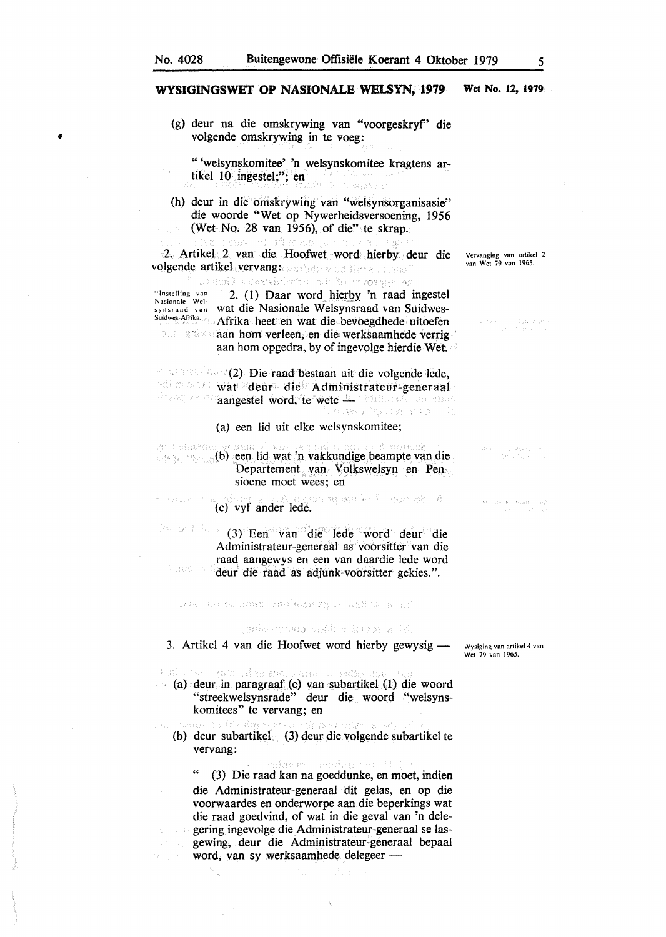•

#### **WYSIGINGSWET OP NASIONALE WELSYN, 1979 Wet No. 12, 1979**

(g) deur na die ornskrywing van "voorgeskryf' die volgende omskrywing in te voeg:

" 'welsynskomitee' 'n welsynskomitee kragtens artikel 10 ingestel;"; en

(h) deur in die omskrywing van "welsynsorganisasie" die woorde "Wet op Nywerheidsversoening, 1956 (Wet No. 28 van 1956), of die" te skrap.

2. Artikel 2 van die Hoofwet ·word hierby deur die volgende artikel vervang: washdrive od thank income

Lansk-svensiniste od holevonna or

··1nstelling van Nasionale Welsynsraad van wat die Nasionale Welsynsraad van Suidwes-Suidwes-Afrika. 2. (1) Daar word hierby 'n raad ingestel Afrika heet en wat die bevoegdhede uitoefen aan hom verleen, en die werksaamhede verrig aan hom opgedra, by of ingevolge hierdie Wet.

**and state (2) Die raad bestaan uit die volgende lede,** wat deur die Administrateur-generaal aangestel word, te wete het waarmaak laar aast.<br>Aangestel word, te wete het aan als a

#### (a) een lid uit elke welsynskomitee;

se beherde sette moondb) een lid wat 'n vakkundige beampte van die Departement van Volkswelsyn en Pensioene moet wees; en

a course a van lanisante ark ko <sup>ya</sup> nokrasio le.<br>(c) vyf ander lede.  $\sim 10\%$  , can be

Jos adt Polis (3) Een van die 1ede word deur die Administrateur-generaal as voorsitter van die raad aangewys en een van daardie lede word  $\mathcal{L}^1_{\mathcal{M}}(\mathcal{M}^{\mathcal{M}}_{\mathcal{M}})$ deur die raad as adjunk-voorsitter gekies.".

#### ant leazenemen molesinger willow a tr

### gebelune og hålt vill posta i s

3. Artikel 4 van die Hoofwet word hierby gewysig - Wysiging van artikel 4 van

deur al deur on an deur van de volke deur bevolkende voord<br>aal (a) adeur in paragraaf (c) van subartikel (1) die woord

- "streekwelsynsrade" deur die woord "welsynskomitees" te vervang; en
- (b) deur subartikel (3) deur die volgende subartikel te vervang:

(3) Die raad kan na goeddunke, en moet, indien die Administrateur-generaaJ dit gelas, en op die voorwaardes en onderworpe aan die beperkings wat die raad goedvind, of wat in die geval van 'n delegering ingevolge die Administrateur-generaal se lasgewing, deur die Administrateur-generaal bepaal word, van sy werksaamhede delegeer -

Wet 79 van 1965.

Vervanging van artikel 2 van Wet 79 van 1965.

 $\begin{split} \mathcal{O}(\mathbf{x}_0) = \mathcal{O}(\mathbf{x}_0^{\mathbf{1}}) = \mathcal{O}(\mathbf{x}_0^{\mathbf{1}}) = \mathcal{O}(\mathbf{x}_0^{\mathbf{1}}) \mathcal{O}(\mathbf{x}_0^{\mathbf{1}}) \mathcal{O}(\mathbf{x}_0^{\mathbf{1}}) \mathcal{O}(\mathbf{x}_0^{\mathbf{1}}) \mathcal{O}(\mathbf{x}_0^{\mathbf{1}}) \mathcal{O}(\mathbf{x}_0^{\mathbf{1}}) \mathcal{O}(\mathbf{x}_0^{\mathbf{1}}) \mathcal{O}(\mathbf{x}_0^{\mathbf{1}}$ 

rin Luci, Atana, y<br>Lin Life k

 $\label{eq:1} \begin{split} \mathbb{E}[x_{1},x_{2}]=\frac{3}{2} \tilde{\mathbf{g}}_{1}^{2}x_{1}^{2} - y_{1}^{2}y_{2}^{2} - \tilde{\mathbf{g}}_{1}^{2}x_{2}^{2} + 2 \tilde{\mathbf{g}}_{1}^{2} \tilde{\mathbf{g}}_{2}^{2}x_{2}^{2} + 3 \tilde{\mathbf{g}}_{2}^{2} \\ &\leq x_{1}^{2} (x_{1}^{2} - x_{1}^{2} - y_{2}^{2} x_{2}^{2} + y_{2}^{2} x_{2}^{2} + y_{2}^{2} x_{$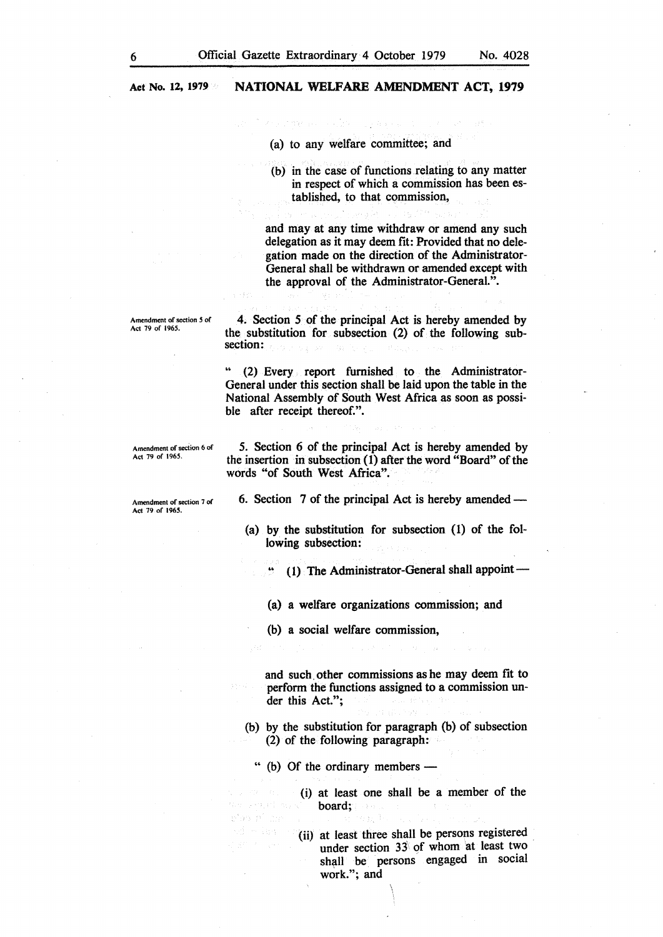**Act No. 12, 1979** 

#### **NATIONAL WELFARE AMENDMENT ACT, 1979**

(a) to any welfare committee; and

(b) in the case of functions relating to any matter in respect of which a commission has been established, to that commission,

and may at any time withdraw or amend any such delegation as it may deem fit: Provided that no delegation made on the direction of the Administrator-General shall be withdrawn or amended except with the approval of the Administrator-General.".

Amendment of section *5* of Act 79 of 1965.

4. Section *5* of the principal Act is hereby amended by the substitution for subsection (2) of the following subsection:

•• (2) Every report furnished to the Administrator-General under this section shall be laid upon the table in the National Assembly of South West Africa as soon as possible after receipt thereof.".

Amendment of section 6 of Act 79 of 1965.

*5.* Section 6 of the principal Act is hereby amended by the insertion in subsection (I) after the word "Board" of the words "of South West Africa".

Amendment of section 7 of Act 79 of 1965.

6. Section 7 of the principal Act is hereby amended —

(a) by the substitution for subsection (I) of the following subsection:

 $(1)$  The Administrator-General shall appoint -

(a) a welfare organizations commission; and

(b) a social welfare commission,

and such. other commissions as he may deem fit to perform the functions assigned to a commission under this Act.";

(b) by the substitution for paragraph (b) of subsection (2) of the following paragraph:

" (b) Of the ordinary members -

(i) at least one shall be a member of the board;

(ii) at least three shall be persons registered under section 33 of whom at least two shall be persons engaged in social work."; and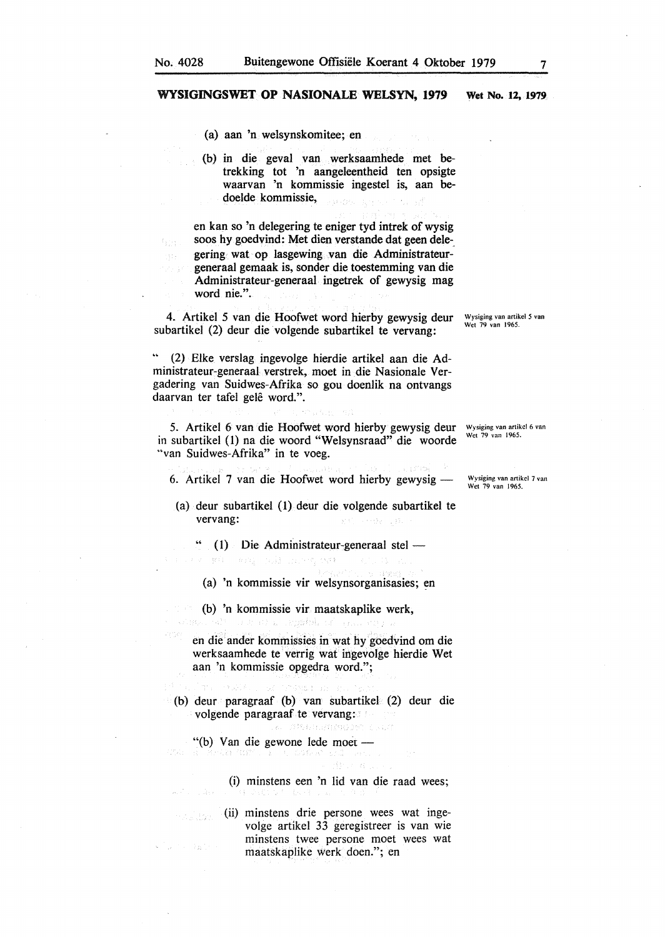$\mathbb{F}_q \times \mathbb{F}_q$ 

#### **WYSIGINGSWET OP NASIONALE WELSYN, 1979 Wet No. 12, 1979**

(a) aan 'n welsynskomitee; en

(b) in die geval van werksaamhede met betrekking tot 'n aangeleentheid ten opsigte waarvan 'n kommissie ingestel is, aan bedoelde kommissie, is bo

en kan so 'n delegering te eniger tyd intrek of wysig soos hy goedvind: Met dien verstande dat geen delegering wat op lasgewing van die Administrateurgeneraal gemaak is, sonder die toestemming van die Administrateur-generaal ingetrek of gewysig mag word nie.".

4. Artikel *5* van die Hoofwet word hierby gewysig deur subartikel (2) deur die volgende subartikel te vervang:

(2) Elke verslag ingevolge hierdie artikel aan die Administrateur-generaal verstrek, moet in die Nasionale Vergadering van Suidwes-Afrika so gou doenlik na ontvangs daarvan ter tafel gelê word.".

5. Artikel 6 van die Hoofwet word hierby gewysig deur Wysiging van artikel 6 van in subartikel (1) na die woord "Welsynsraad" die woorde "van Suidwes-Afrika" in te voeg.

6. Artikel 7 van die Hoofwet word hierby gewysig -

(a) deur subartikel (1) deur die volgende subartikel te vervang:

 $(1)$  Die Administrateur-generaal stel -Talent College Development Render

(a) 'n kommissie vir welsynsorganisasies; en

(b) 'n kommissie vir maatskaplike werk, A stra ingebol.

en die ander kommissies in wat hy goedvind om die werksaamhede te verrig wat ingevolge hierdie Wet aan 'n kommissie opgedra word.";

(b) deur paragraaf (b) van subartikel (2) deur die volgende paragraaf te vervang:

AREANINGDR ()

"(b) Van die gewone lede moet -그 사람 학교 일이

rizilda.

ta Bair

(i) minstens een 'n lid van die raad wees;

(ii) minstens drie persone wees wat ingevolge artikel 33 geregistreer is van wie minstens twee persone moet wees wat maatskaplike werk doen."; en

Wysiging van artikel 7 van Wet 79 van 1965.

Wysiging van artikel *5* van Wet 79 van 1965.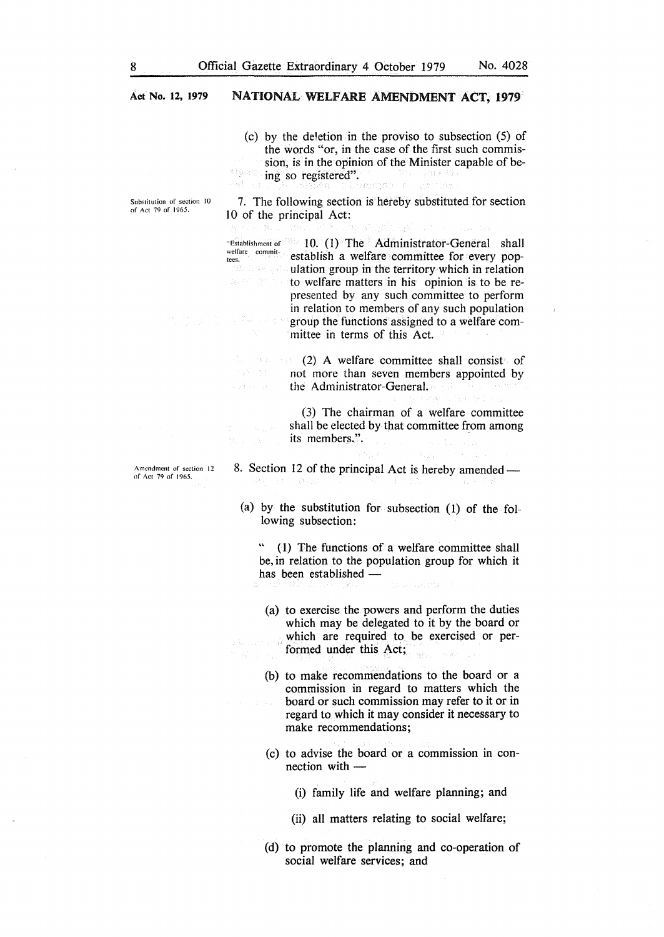**Act No. 12, 1979** 

#### **NATIONAL WELFARE AMENDMENT ACT, 1979**

(c) by the deletion in the proviso to subsection (5) of the words "or, in the case of the first such commission, is in the opinion of the Minister capable of being so registered". o Afrik compas

Substitution of section 10 of Act 79 of I 965.

-33

7. The following section is hereby substituted for section IO of the principal Act:

"Establishment of IO. (1) The Administrator-General shall welfare commit establish a welfare committee for every pop- $\mathbb{R}$  and  $\mathbb{R}$  ulation group in the territory which in relation to welfare matters in his opinion is to be represented by any such committee to perform in relation to members of any such population group the functions assigned to a welfare committee in terms of this Act.

 $(2)$  A welfare committee shall consist of Anglo-Cinger not more than seven members appointed by the Administrator-General.

> (3) The chairman of a welfare committee shall be elected by that committee from among its members.".

Amendment of section 12 of Act 79 of 1965.

# 8. Section 12 of the principal Act is hereby amended —

(a) by the substitution for subsection (1) of the following subsection:

" (1) The functions of a welfare committee shall be, in relation to the population group for which it has been established -

- (a) to exercise the powers and perform the duties which may be delegated to it by the board or which are required to be exercised or performed under this Act; av.<br>Stor
- (b) to make recommendations to the board or a commission in regard to matters which the board or such commission may refer to it or in regard to which it may consider it necessary to make recommendations;
- ( c) to advise the board or a commission in connection with  $-$ 
	- (i) family life and welfare planning; and
	- (ii) all matters relating to social welfare;
- (d) to promote the planning and co-operation of social welfare services; and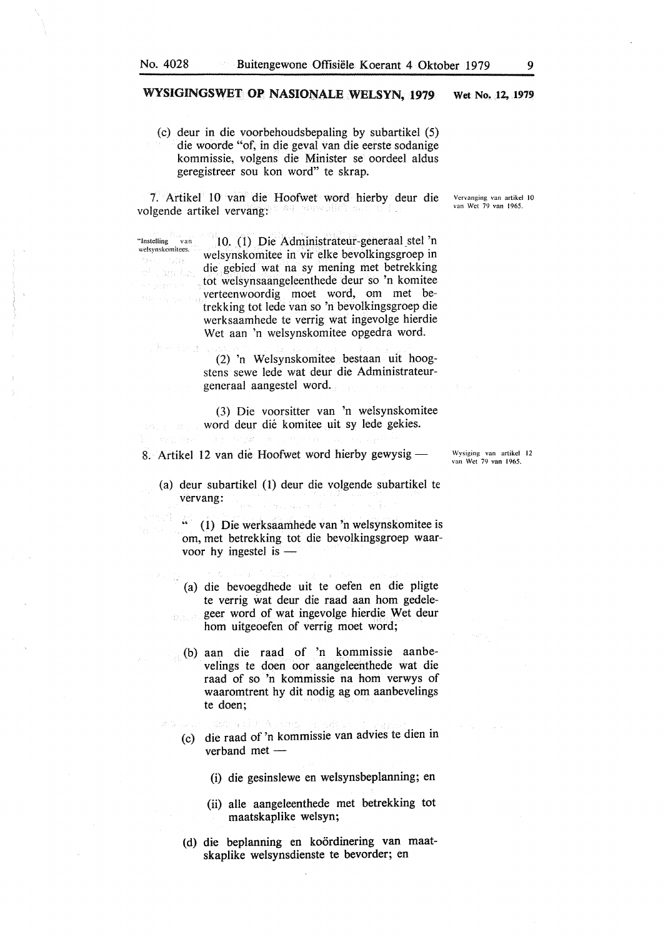"Instclling van welsynskomitees.

ef Lanche

 $\tilde{c}(\eta,\zeta)$ 

n.<br>Historia

#### WYSIGINGSWET OP NASIONALE WELSYN, 1979 Wet No. 12, 1979

(c) deur in die voorbehoudsbepaling by subartikel (5) die woorde "of, in die geval van die eerste sodanige kommissie, volgens die Minister se oordeel aldus geregistreer sou kon word" te skrap.

7. Artikel 10 van die Hoofwet word hierby deur die volgende artikel vervang:

> 10. (1) Die Administrateur-generaal stel 'n welsynskomitee in vir elke bevolkingsgroep in die gebied wat na sy mening met betrekking tot welsynsaangeleenthede deur so 'n komitee verteenwoordig moet word, om met betrekking tot lede van so 'n bevolkingsgroep die werksaamhede te verrig wat ingevolge hierdie Wet aan 'n welsynskomitee opgedra word.

(2) 'n Welsynskomitee bestaan uit hoogstens sewe lede wat deur die Administrateurgeneraal aangestel word.

(3) Die voorsitter van 'n welsynskomitee word deur die komitee uit sy lede gekies.

8. Artikel 12 van die Hoofwet word hierby gewysig -

- (a) deur subartikel (I) deur die volgende subartikel te vervang:
	- " (1) Die werksaamhede van 'n welsynskomitee is om, met betrekking tot die bevolkingsgroep waarvoor hy ingestel is  $-$
	- (a) die bevoegdhede uit te oefen en die pligte te verrig wat deur die raad aan horn gedelegeer word of wat ingevolge hierdie Wet deur horn uitgeoefen of verrig moet word;
	- (b) aan die raad of 'n kommissie aanbevelings te doen oor aangeleenthede wat die raad of so 'n kommissie na horn verwys of waaromtrent hy dit nodig ag om aanbevelings te doen;
	- (c) die raad of 'n kommissie van advies te dien in verband met  $-$ 
		- (i) die gesinslewe en welsynsbeplanning; en
		- (ii) alle aangeleenthede met betrekking tot maatskaplike welsyn;
	- (d) die beplanning en koordinering van maatskaplike welsynsdienste te bevorder; en

Vervanging van artikcl JO van Wei 79 van 1965.

Wysiging van artikcl 12 van Wet 79 van 1965.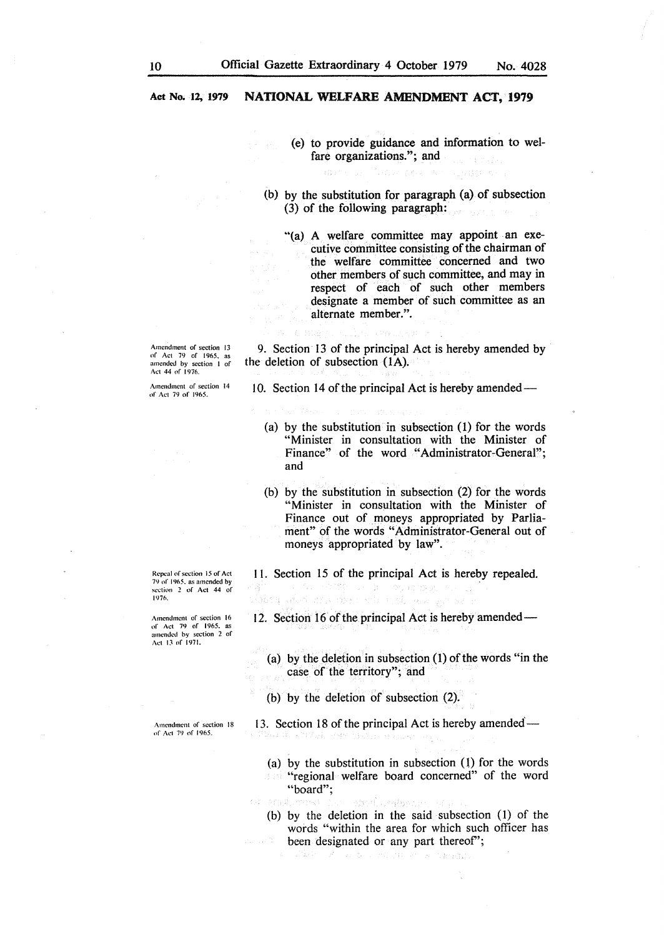- ( e) to provide guidance and information to welfare organizations."; and
- (b) by the substitution for paragraph (a) of subsection (3) of the following paragraph:
	- ''(a) A welfare committee may appoint an executive committee consisting of the chairman of the welfare committee concerned and two other members of such committee, and may in respect of each of such other members designate a member of such committee as an alternate member.".

Amendment of section 13<br>of Act 79 of 1965, as<br>amended by section 1 of Act 44 of 1976.

Amendment of section 14 of Act 79 of 1965.

Repeal of section 15 of Act 79 of I 965. as amended by section 2 of Act 44 of JtJ?fl.

Amendment of section 16 of Act 79 of 1965, as amended by section 2 of Act 13 nf 1971.

Amendment of section 18 nf Act 79 of 1965.

9. Section 13 of the principal Act is hereby amended by the deletion of subsection (IA).

10. Section 14 of the principal Act is hereby amended —

- (a) by the substitution in subsection (1) for the words "Minister in consultation with the Minister of Finance" of the word "Administrator-General"; and
- (b) by the substitution in subsection (2) for the words "Minister in consultation with the Minister of Finance out of moneys appropriated by Parliament" of the words "Administrator-General out of moneys appropriated by law".

I I. Section 15 of the principal Act is hereby repealed.

12. Section 16 of the principal Act is hereby amended —

(a) by the deletion in subsection (1) of the words "in the case of the territory"; and

(b) by the deletion of subsection (2).

19323

13. Section 18 of the principal Act is hereby amended—

- (a) by the substitution in subsection (l) for the words **"regional welfare board concerned"** of the word "board";
- Ol emaler ทำกลับ คนไม่เกาะ
	- (b) by the deletion in the said subsection (1) of the words "within the area for which such officer has been designated or any part thereof";

그림도? Cesticas. TAC CASAT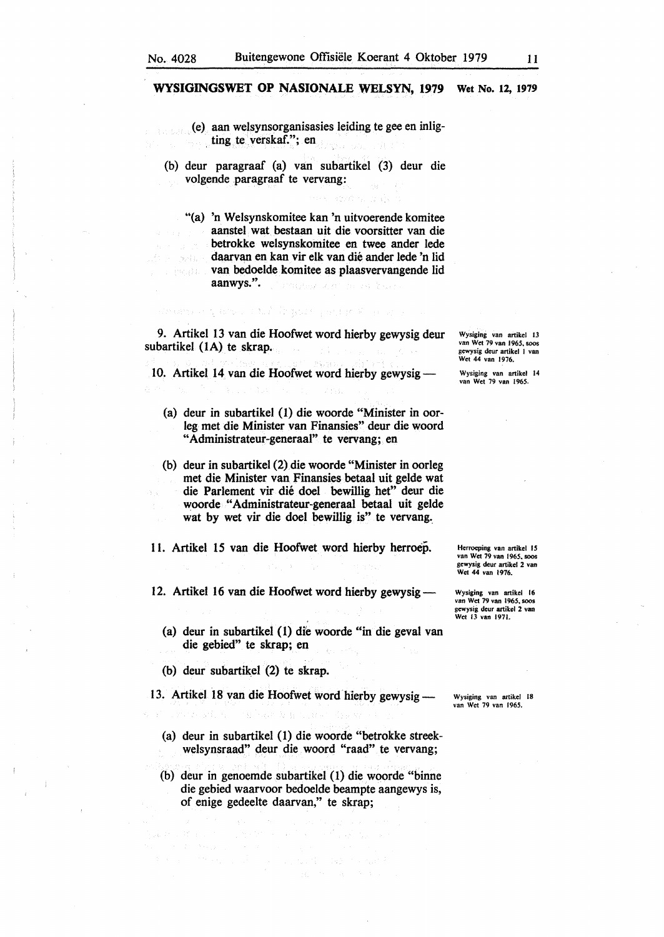(e) aan welsynsorganisasies leiding te gee en inligting te verskaf."; en

(b) deur paragraaf (a) van subartikel (3) deur die volgende paragraaf te vervang:

"(a) 'n Welsynskomitee kan 'n uitvoerende komitee aanstel wat bestaan uit die voorsitter van die betrokke welsynskomitee en twee ander lede daarvan en kan vir elk van die ander lede 'n lid in nga Sababa van bedoelde komitee as plaasvervangende lid aanwys.".

9. Artikel 13 van die Hoofwet word hierby gewysig deur subartikel (IA) te skrap.

main a part of the impure part of the

10. Artikel 14 van die Hoofwet word hierby gewysig-

- (a) deur in subartikel (1) die woorde "Minister in oorleg met die Minister van Finansies" deur die woord "Administrateur-generaal'' te vervang; en
- (b) deur in subartikel (2) die woorde "Minister in oorleg met die Minister van Finansies betaal uit gelde wat die Parlement vir die doel bewillig het" deur die woorde "Administrateur-generaal betaal uit gelde wat by wet vir die doel bewillig is" te vervang.

11. Artikel 15 van die Hoofwet word hierby herroep.

12. Artikel 16 van die Hoofwet word hierby gewysig --

- (a) deur in subartikel (1) dfe woorde "in die geval van die gebied" te skrap; en
- (b) deur subartikel  $(2)$  te skrap.

13. Artikel 18 van die Hoofwet word hierby gewysig —

Wysiging van artikel 18 van Wet 79 van 1965.

- (a} deur in subartikel (1) die woorde "betrokke streekwelsynsraad" deur die woord "raad" te vervang;
- (b) deur in genoemde subartikel (1) die woorde "binne die gebied waarvoor bedoelde beampte aangewys is, of enige gedeelte daarvan," te skrap;

 $\sim 10^{11}$  and  $\sim 10^{11}$  and  $\sim 10^{11}$ 

 $\label{eq:1} \frac{1}{\sqrt{2}}\sum_{i=1}^n\sum_{j=1}^n\left(\frac{1}{\sqrt{2}}\left(\frac{1}{\sqrt{2}}\right)^2\right)^2\left(\frac{1}{\sqrt{2}}\right)^2\left(\frac{1}{\sqrt{2}}\right)^2\left(\frac{1}{\sqrt{2}}\right)^2\left(\frac{1}{\sqrt{2}}\right)^2\left(\frac{1}{\sqrt{2}}\right)^2\left(\frac{1}{\sqrt{2}}\right)^2\left(\frac{1}{\sqrt{2}}\right)^2\left(\frac{1}{\sqrt{2}}\right)^2\left(\frac{1}{\sqrt{2}}\right)^2\left(\frac{1}{\sqrt$ 

Wysiging van artikel 13 van Wet 79 van 1965, soos gewysig deur artikel I van Wet 44 van 1976.

Wysiging van artikel 14 van Wet 79 van 1965.

Hcrroeping van artikel IS van Wet 79 van 1965. SOOS gewysig deur artikel 2 van Wet 44 van 1976.

Wysiging van artikel 16 van Wet 79 van 1965, soos gewysig deur artikel 2 van Wet 13 van 1971.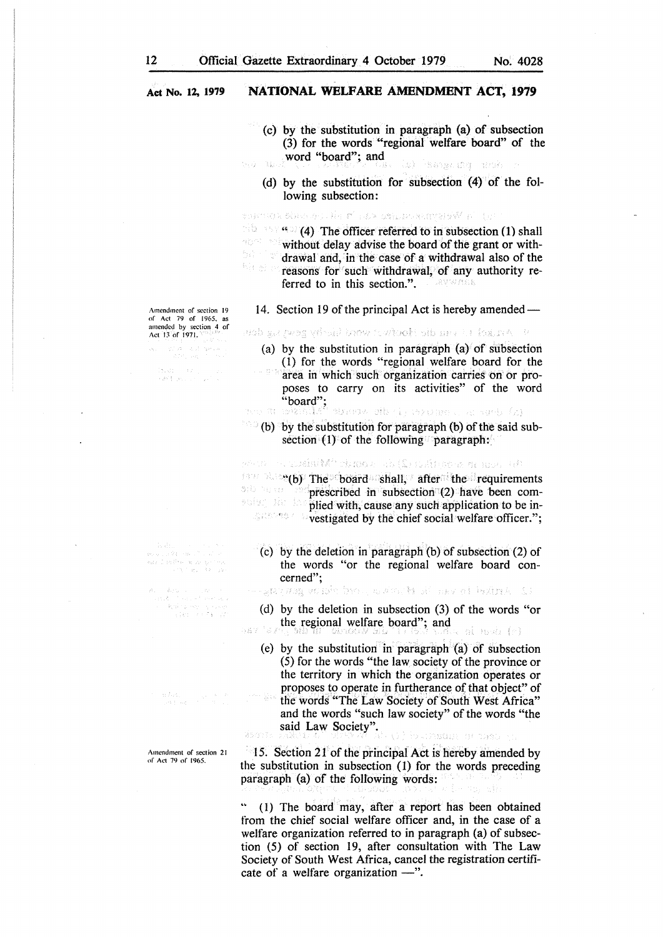- (c) by the substitution in paragraph (a) of subsection (3) for the words "regional welfare board" of the word "board"; and dens particular<sup>7</sup> (d.
	- (d) by the substitution for subsection (4) of the following subsection:

ระทบเอล 60 เธอะ เล่ง ฮารอล 550 เธอเลยอนเลย์ที่ ค่า 19

 $\mathbb{R}$  (4) The officer referred to in subsection (1) shall 特别的 计加 without delay advise the board of the grant or with- $\frac{L_2}{12} \frac{1}{L_1} \left(1-\frac{1}{2}\right) \frac{1}{M}$ drawal and, in the case of a withdrawal also of the Rimel a reasons for such withdrawal, of any authority referred to in this section.". **TELRMW MOE** 

Amendment of section 19 or Act 79 or 1965. as amended by section 4 of Act *13* of 1971.

Spot Park

(1920) – 1971)<br>1983: Jan Lance (1921)

i<br>Kabupatèn Kabupatèn<br>Lisakat Palisa

Amendment of section 21 of Act 79 of 1965.

14. Section 19 of the principal Act is hereby amended —

d - Antaci Them de Rodest whoir serves deep

- (a) by the substitution in paragraph (a) of subsection ( 1) for the words "regional welfare board for the
- area in which such organization carries on or proposes to carry on its activities" of the word "board";
- al e con ospuser () die verw was fri

 $\sim$  (b) by the substitution for paragraph (b) of the said subsection  $(1)$  of the following paragraph:

where  $\mathfrak{g}_\mathcal{C}$  and  $\mathfrak{g}_\mathcal{C}$  is the set  $\mathfrak{g}_\mathcal{C}$  . The set of  $\mathfrak{g}_\mathcal{C}$ 4847850 **EXAMPLE THE board shall, after the requirements** prescribed in subsection (2) have been complied with, cause any such application to be in-

**vestigated by the chief social welfare officer.";** 

(c) by the deletion in paragraph (b) of subsection (2) of the words "or the regional welfare board concerned";

the Arthel in van the Product of the man range of the state

- (d) by the deletion in subsection (3) of the words "or the regional welfare board"; and
- .<br>Nas si mai (e)
	- (e) by the substitution in paragraph (a) of subsection (5) for the words "the law society of the province or the territory in which the organization operates or proposes to operate in furtherance of that object" of  $\label{eq:2.1} \begin{array}{c} \mathbb{E}(\mathcal{P}(\alpha),\beta) = \frac{1-\alpha}{\alpha_1\alpha_2} \frac{1}{\alpha_1} \end{array}$ the words "The Law Society of South West Africa" and the words "such law society" of the words "the said Law Society". SACTO STRAIN

15. Section 21 of the principal Act is hereby amended by

the substitution in subsection  $(1)$  for the words preceding paragraph (a) of the foltowing words:

(1) The board may, after a report has been obtained from the chief social welfare officer and, in the case of a welfare organization referred to in paragraph (a) of subsection (5) of section 19, after consultation with The Law Society of South West Africa, cancel the registration certificate of a welfare organization  $-$ ".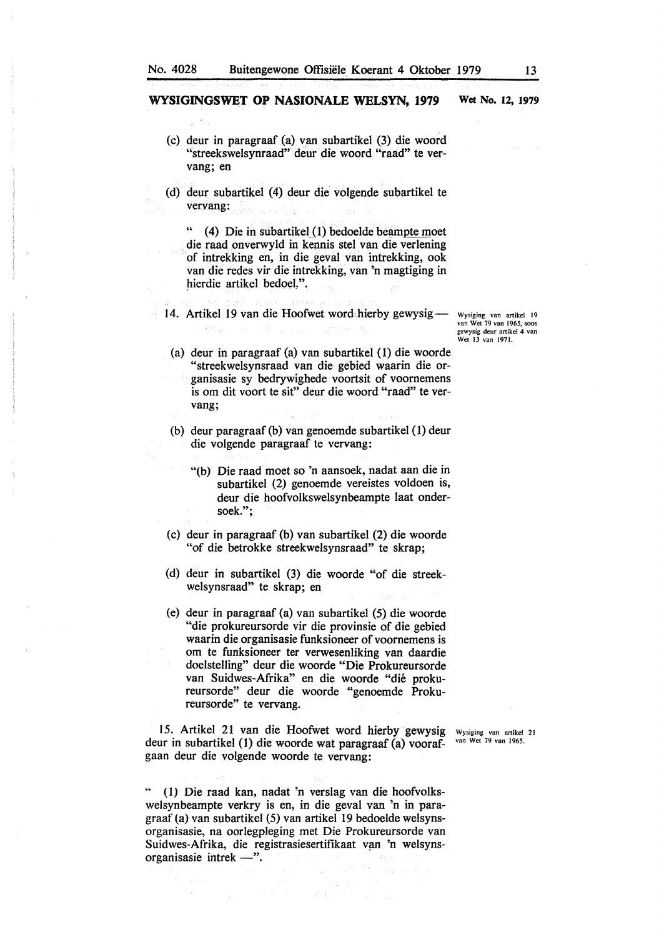- (c) deur in paragraaf (a) van subartikel (3) die woord "streekswelsynraad" deur die woord "raad" te vervang; en
- (d) deur subartikel (4) deur die volgende subartikel te vervang:

 $(4)$  Die in subartikel  $(1)$  bedoelde beampte moet die raad onverwyld in kennis stet van die verlening of intrekking en, in die geval van intrekking, ook van die redes vir die intrekking, van 'n magtiging in hierdie artikel bedoel.".

14. Artikel 19 van die Hoofwet word-hierby gewysig<sup>-</sup>

Wysiging van artikel 19<br>van Wet 79 van 1965, soos gcwysig deur artikcl 4 van Wet 13 van 1971.

- (a) deur in paragraaf (a) van subartikel (1) die woorde "streekwelsynsraad van die gebied waarin die organisasie sy bedrywighede voortsit of voornernens is om dit voort te sit" deur die woord "raad" te vervang;
- (b) deur paragraaf (b) van genoemde subartikel ( 1) deur die volgende paragraaf te vervang:
	- "(b) Die raad moet so 'n aansoek, nadat aan die in subartikel (2) genoemde vereistes voldoen is, deur die hoofvolkswelsynbeampte laat ondersoek.";
- (c) deur in paragraaf (b) van subartikel (2) die woorde "of die betrokke streekwelsynsraad" te skrap;
- (d) deur in subartikel (3) die woorde "of die streekwelsynsraad" te skrap; en
- (e) deur in paragraaf (a) van subartikel (5) die woorde "die prokureursorde vir die provinsie of die gebied waarin die organisasie funksioneer of voornernens is om te funksioneer ter verwesenliking van daardie doelstelling" deur die woorde "Die Prokureursorde van Suidwes-Afrika" en die woorde "die prokureursorde" deur die woorde "genoernde Prokureursorde" te vervang.

15. Artikel 21 van die Hoofwet word hierby gewysig wysiging van artikel 21 van die Hoofwet word hierby gewysig was artikel 21 van 1965. deur in subartikel (1) die woorde wat paragraaf (a) voorafgaan deur die volgende woorde te vervang:

.. ( I) Die raad kan, nadat 'n verslag van die hoofvolkswelsynbearnpte verkry is en, in die geval van 'n in paragraaf (a) van subartikel (5) van artikel 19 bedoelde welsynsorganisasie, na oorlegpleging met Die Prokureursorde van Suidwes-Afrika, die registrasiesertifikaat van 'n welsynsorganisasie intrek  $-$ ".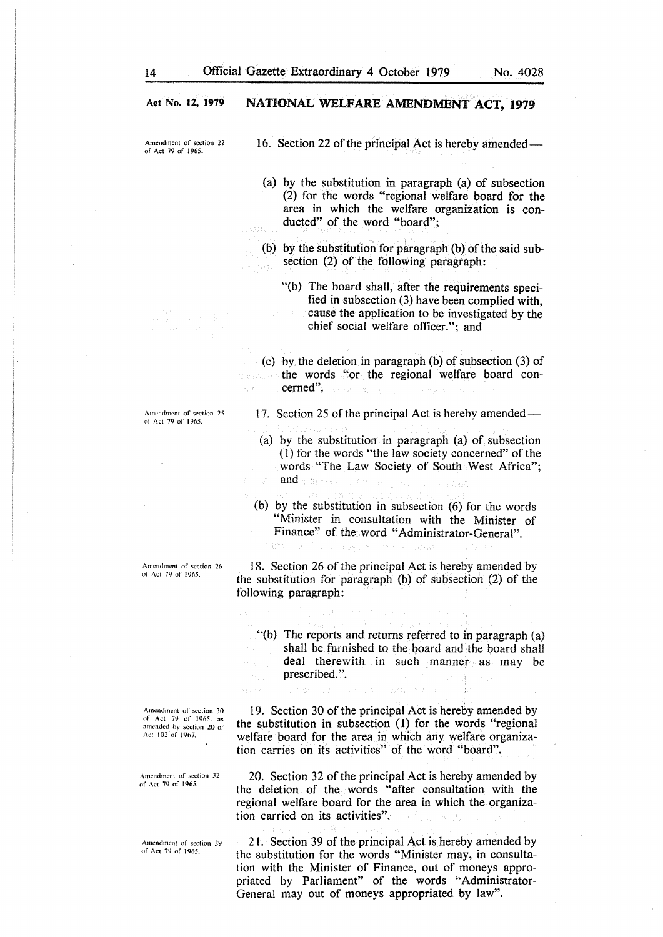Amendment of section 22 of Act 79 of 1965.

16. Section 22 of the principal Act is hereby amended-

(a) by the substitution in paragraph (a) of subsection (2) for the words "regional welfare board for the area in which the welfare organization is conducted" of the word "board";

(b) by the substitution for paragraph (b) of the said subsection (2) of the following paragraph:

"(b) The board shall, after the requirements specified in subsection (3) have been complied with, cause the application to be investigated by the chief social welfare officer."; and

(c) by the deletion in paragraph (b) of subsection (3) of the words "or the regional welfare board concerned".

Amendment of section 25 of Act 79 of 1965.

Amendment of section 26 of Act 79 of J 965.

Amendment of section JO of Act 79 of 1965, as<br>amended by section 20 of<br>Act 102 of 1967.

Amendment of section 32 of Act 79 of 1965.

Amendment of section 39 of Act 79 of 1965.

17. Section 25 of the principal Act is hereby amended —

- ( a) by the substitution in paragraph (a) of subsection ( 1) for the words "the law society concerned" of the words "The Law Society of South West Africa"; and  $\mathbb{S}$  denotes a in George
- (b) by the substitution in subsection (6) for the words "Minister in consultation with the Minister of Finance" of the word "Administrator-General".

18. Section 26 of the principal Act is hereby amended by the substitution for paragraph (b) of subsection (2) of the following paragraph:

"(b) The reports and returns referred to in paragraph (a) shall be furnished to the board and the board shall deal therewith in such manner as may be prescribed.".

19. Section 30 of the principal Act is hereby amended by the substitution in subsection (1) for the words "regional welfare board for the area in which any welfare organization carries on its activities" of the word "board".

ing ay.

20. Section 32 of the principal Act is hereby amended by the deletion of the words "after consultation with the regional welfare board for the area in which the organization carried on its activities".

21. Section 39 of the principal Act is hereby amended by the substitution for the words "Minister may, in consultation with the Minister of Finance, out of moneys appropriated by Parliament" of the words "Administrator-General may out of moneys appropriated by law".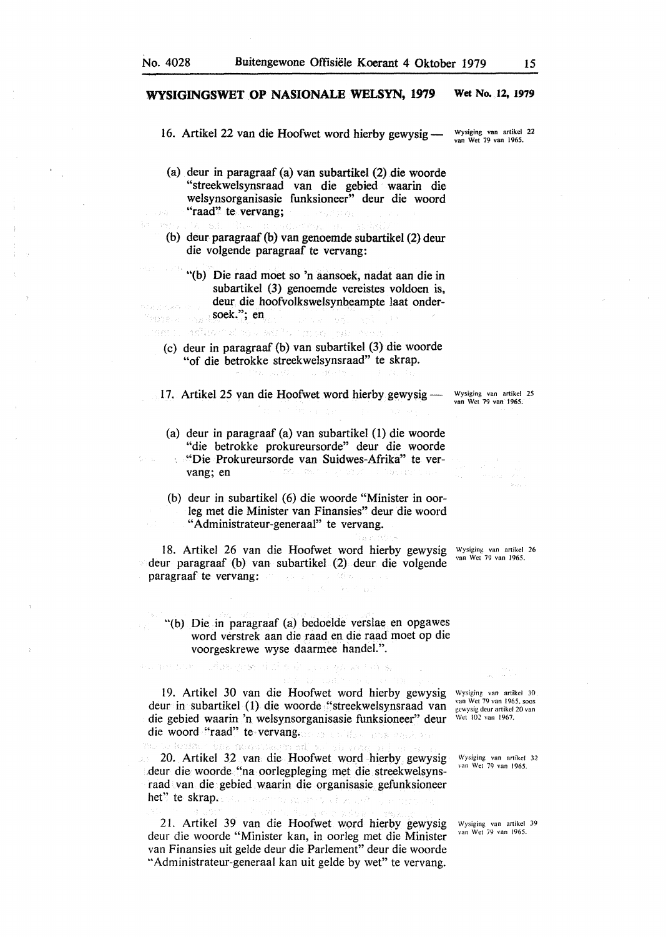Visione Sep ว่าอาจะระ

in Alger

#### **WYSIGINGSWET OP NASIONALE WELSYN, 1979 Wet No. 12, 1979**

16. Artikel 22 van die Hoofwet word hierby gewysig —

Wysiging van artikel 22 van Wet 79 van 1965.

- (a) deur in paragraaf (a) van subartikel (2) die woorde "streekwelsynsraad van die gebied waarin die welsynsorganisasie funksioneer" deur die woord "raad" te vervang;
	-
- (b) deur paragraaf (b) van genoemde subartikel (2) deur die volgende paragraaf te vervang:
	- "(b) Die raad moet so 'n aansoek, nadat aan die in subartikel (3) genoemde vereistes voldoen is, deur die hoofvolkswelsynbeampte laat ondersoek."; en

can a deux d'as pil<sup>a</sup>s uno par esse

(c) deur in paragraaf (b) van subartikel (3) die woorde "of die betrokke streekwelsynsraad" te skrap.

17. Artikel 25 van die Hoofwet word hierby gewysig --

- (a) deur in paragraaf (a) van subartikel (1) die woorde "die betrokke prokureursorde" deur die woorde "Die Prokureursorde van Suidwes-Afrika" te ver-
- vang; en (b) deur in subartikel (6) die woorde "Minister in oor-
- leg met die Minister van Finansies" deur die woord "Administrateur-generaal" te vervang.

18. Artikel 26 van die Hoofwet word hierby gewysig Wysiging van artikel 26 deur paragraaf (b) van subartikel (2) deur die volgende paragraaf te vervang:

Wysiging van artikcl 25 van Wet 79 van 1965.

"(b) Die in paragraaf (a) bedoelde verslae en opgawes word verstrek aan die raad en die raad moet op die voorgeskrewe wyse daarmee handel.".

 $\eta_{\rm c}$  ,  $\sim$ 

19. Artikel 30 van die Hoofwet word hierby gewysig Wysiging van artikcl 30 deur in subartikel (1) die woorde "streekwelsynsraad van die gebied waarin 'n welsynsorganisasie funksioneer" deur die woord "raad" te vervang.

an bin Telas presidenti pada en 2010an

20. Artikel 32 van die Hoofwet word hierby gewysig deur die woorde "na oorlegpleging met die streekwelsynsraad van die gebied waarin die organisasie gefunksioneer het" te skrap. Builteachta Alla

2 l. Artikel 39 van die Hoofwet word hierby gewysig deur die woorde "Minister kan, in oorleg met die Minister van Finansies uit gelde deur die Parlement" deur die woorde "Administrateur-generaal kan uit gelde by wet" te vervang.

van Wet 79 van 1965. soos gcwysig dcur artikel 20 van Wei 102 van 1967.

Wysiging van artikcl 32 van Wet 79 van 1965.

Wysiging van artikel 39 van Wet 79 van 1965.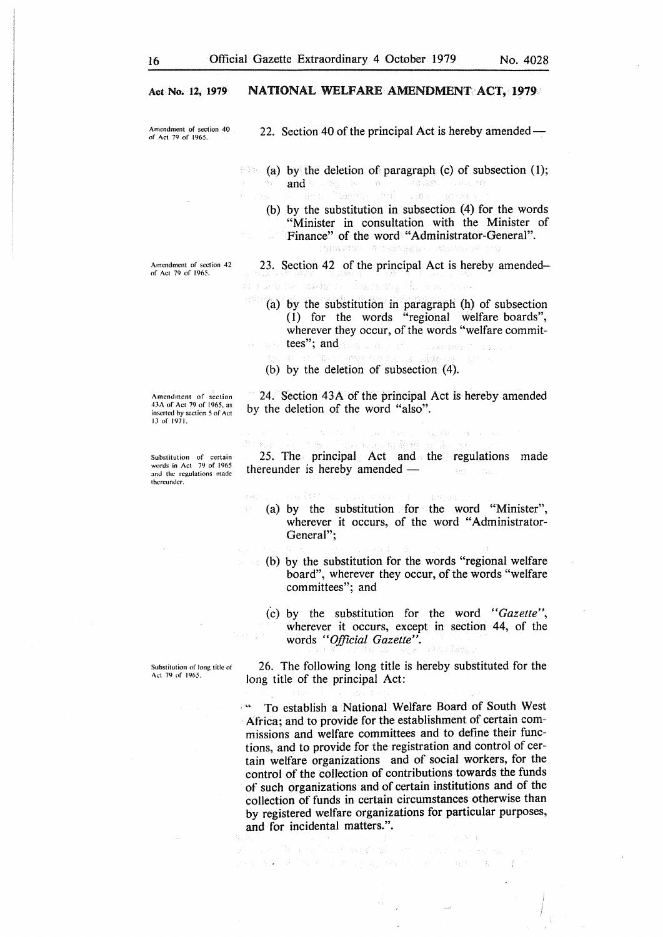Amendment of section 40 of Act 79 of 1965.

22. Section 40 of the principal Act is hereby amended —

60%. (a) by the deletion of paragraph (c) of subsection (1); and be a top of the contract of the standard contract of  $\mathbf{a}$ 恐れ

3.1数的人

(b) by the substitution in subsection (4) for the words "Minister in consultation with the Minister of Finance" of the word "Administrator-General". anakomen di Santanono

23. Section 42 of the principal Act is hereby amended-

a Still alle consider

(a) by the substitution in paragraph (h) of subsection ( 1) for the words "regional welfare boards", wherever they occur, of the words "welfare committees"; and

Sussex (RAST) All and a state of story and

(b) by the deletion of subsection  $(4)$ .

by the deletion of the word "also".

Amendment of section 43A of Act 79 of 1965. as inserted by section *5* of Act 13 of 1971.

Substitution of certain words in Act 79 of 1965 and the regulations made thereunder.

25. The principal Act and the regulations made thereunder is hereby amended  $-$ 一つもうこと合わ

24. Section 43A of the principal Act is hereby amended

(a) by the substitution for the word "Minister", wherever it occurs, of the word "Administrator-General";

(b) by the substitution for the words "regional welfare board", wherever they occur, of the words "welfare committees"; and

(c) by the substitution for the word *"Gazette",*  wherever it occurs, except in section 44, of the words *"Official Gazette".* 

26. The following long title is hereby substituted for the long title of the principal Act:

" To establish a National Welfare Board of South West Africa; and to provide for the establishment of certain commissions and welfare committees and to define their functions, and to provide for the registration and control of certain welfare organizations and of social workers, for the control of the collection of contributions towards the funds of such organizations and of certain institutions and of the collection of funds in certain circumstances otherwise than by registered welfare organizations for particular purposes, and for incidental matters.".

经经历报酬 第二世纪 化分光 经货物 医异常性 化氧化物 经原始的

Substitution of long title of Act 79 of 1965.

Amendment of section 42 of Act 79 of 1965.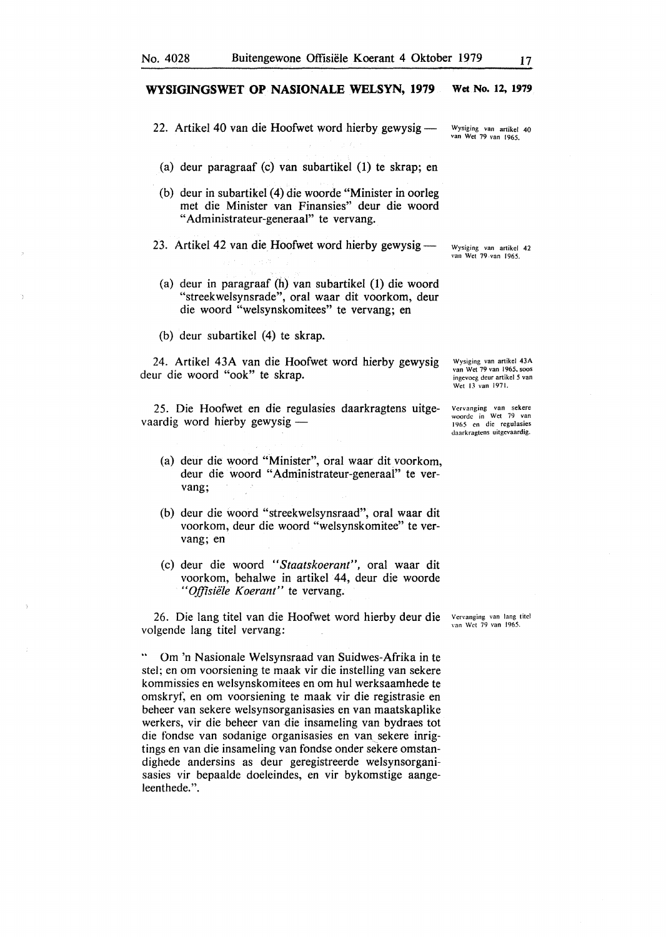- 22. Artikel 40 van die Hoofwet word hierby gewysig -
	- (a) deur paragraaf (c) van subartikel (1) te skrap; en
- (b) deur in subartikel (4) die woorde "Minister in oorleg met die Minister van Finansies" deur die woord "Administrateur-generaal" te vervang.
- 23. Artikel 42 van die Hoofwet word hierby gewysig $-$
- (a) deur in paragraaf (h) van subartikel (1) die woord "streekwelsynsrade", oral waar dit voorkom, deur die woord "welsynskomitees" te vervang; en
- (b) deur subartikel (4) te skrap.

24. Artikel 43A van die Hoofwet word hierby gewysig deur die woord "ook" te skrap.

25. Die Hoofwet en die regulasies daarkragtens uitgevaardig word hierby gewysig —

- (a) deur die woord "Minister", oral waar dit voorkom, deur die woord "Administrateur-generaal" te vervang;
- (b) deur die woord "streekwelsynsraad", oral waar dit voorkom, deur die woord "welsynskomitee" te vervang; en
- (c) deur die woord *"Staatskoerant",* oral waar dit voorkom, behalwe in artikel 44, deur die woorde *"Offisiele Koerant"* te vervang.

26. Die Jang titel van die Hoofwet word hierby deur die volgende lang titel vervang:

.. Om 'n Nasionale Welsynsraad van Suidwes-Afrika in te stel; en om voorsiening te maak vir die instelling van sekere kommissies en welsynskomitees en om hul werksaamhede te omskryf, en om voorsiening te maak vir die registrasie en beheer van sekere welsynsorganisasies en van maatskaplike werkers, vir die beheer van die insameling van bydraes tot die fondse van sodanige organisasies en van sekere inrigtings en van die insameling van fondse onder sekere omstandighede andersins as deur geregistreerde welsynsorganisasies vir bepaalde doeleindes, en vir bykomstige aangeleenthede.".

Vcrvanging van lang titel van Wet 79 van 1965.

Wysiging van artikel 43A van Wet 79 van 1965. soos ingevoeg deur artikel *5* van Wet 13 van 1971.

Vervanging van sekere woordc in Wet 79 van 1965 en die regulasies daarkragtcns uitgevaardig.

Wysiging van artikel 40 van Wet 79 van I 965.

Wysiging van artikel 42<br>van Wet 79 van 1965.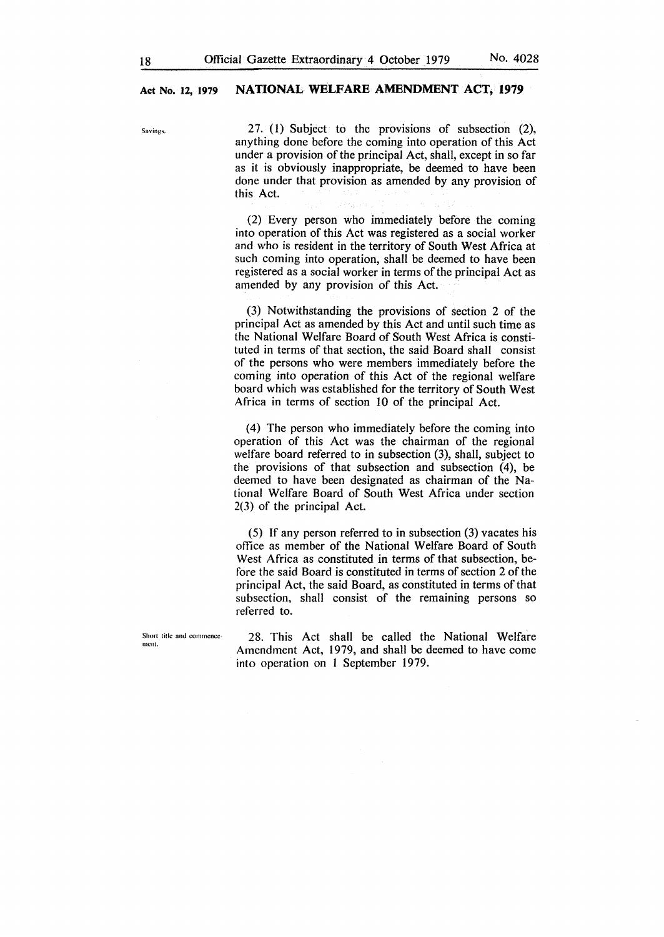$S_{\text{avings.}}$  27. (1) Subject to the provisions of subsection (2), anything done before the coming into operation of this Act under a provision of the principal Act, shall, except in so far as it is obviously inappropriate, be deemed to have been done under that provision as amended by any provision of this Act.

> (2) Every person who immediately before the coming into operation of this Act was registered as a social worker and who is resident in the territory of South West Africa at such coming into operation, shall be deemed to have been registered as a social worker in terms of the principal Act as amended by any provision of this Act.

> (3) Notwithstanding the provisions of section 2 of the principal Act as amended by this Act and until such time as the National Welfare Board of South West Africa is constituted in terms of that section, the said Board shall consist of the persons who were members immediately before the coming into operation of this Act of the regional welfare board which was established for the territory of South West Africa in terms of section 10 of the principal Act.

> (4) The person who immediately before the coming into operation of this Act was the chairman of the regional welfare board referred to in subsection (3), shall, subject to the provisions of that subsection and subsection (4), be deemed to have been designated as chairman of the National Welfare Board of South West Africa under section 2(3) of the principal Act.

> (5) If any person referred to in subsection (3) vacates his office as member of the National Welfare Board of South West Africa as constituted in terms of that subsection, before the said Board is constituted in terms of section 2 of the principal Act, the said Board, as constituted in terms of that subsection, shall consist of the remaining persons so referred to.

Short title and commence **mcnt.** 

28. This Act shall be called the National Welfare Amendment Act, 1979, and shall be deemed to have come into operation on 1 September 1979.